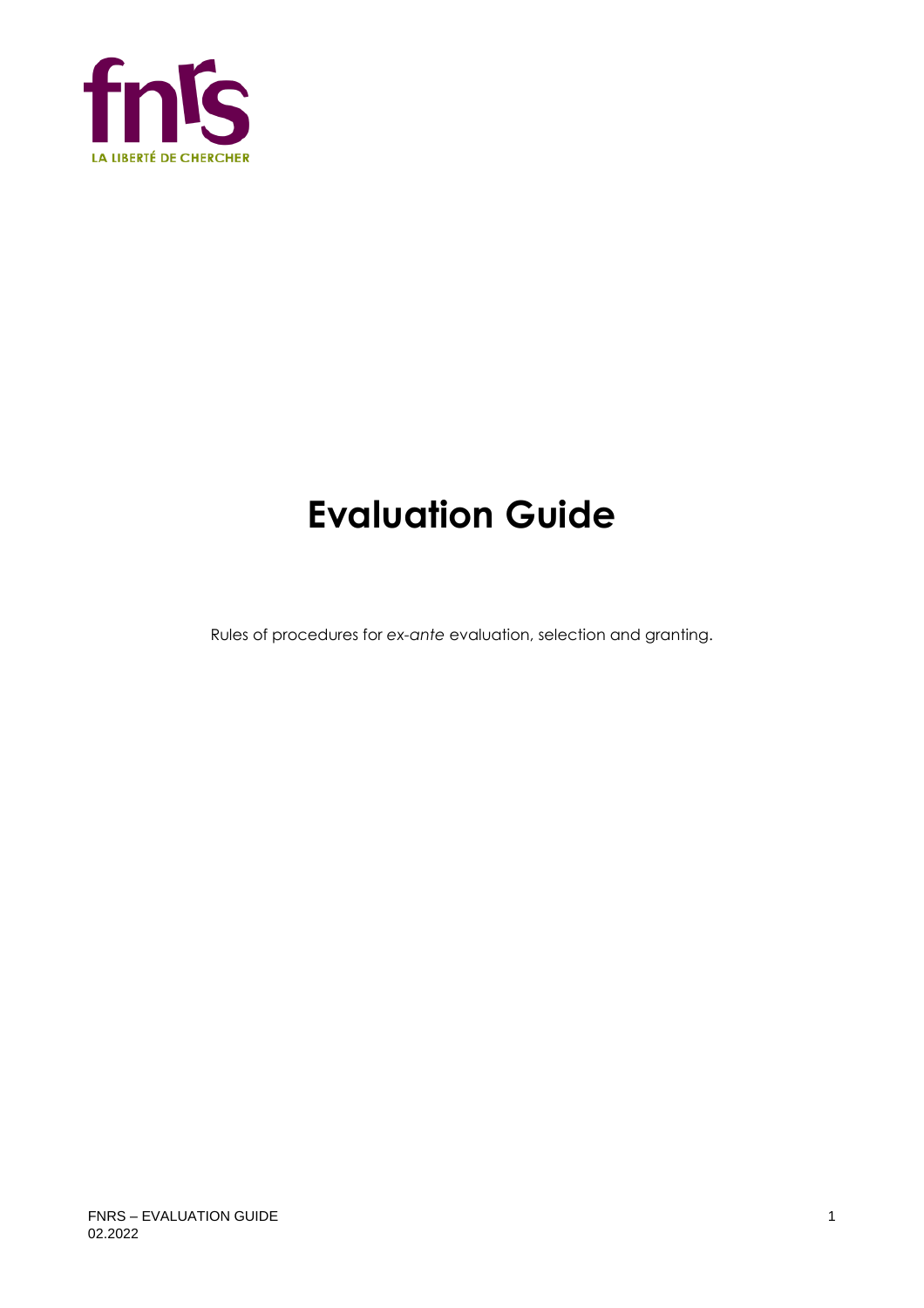

# **Evaluation Guide**

Rules of procedures for *ex-ante* evaluation, selection and granting.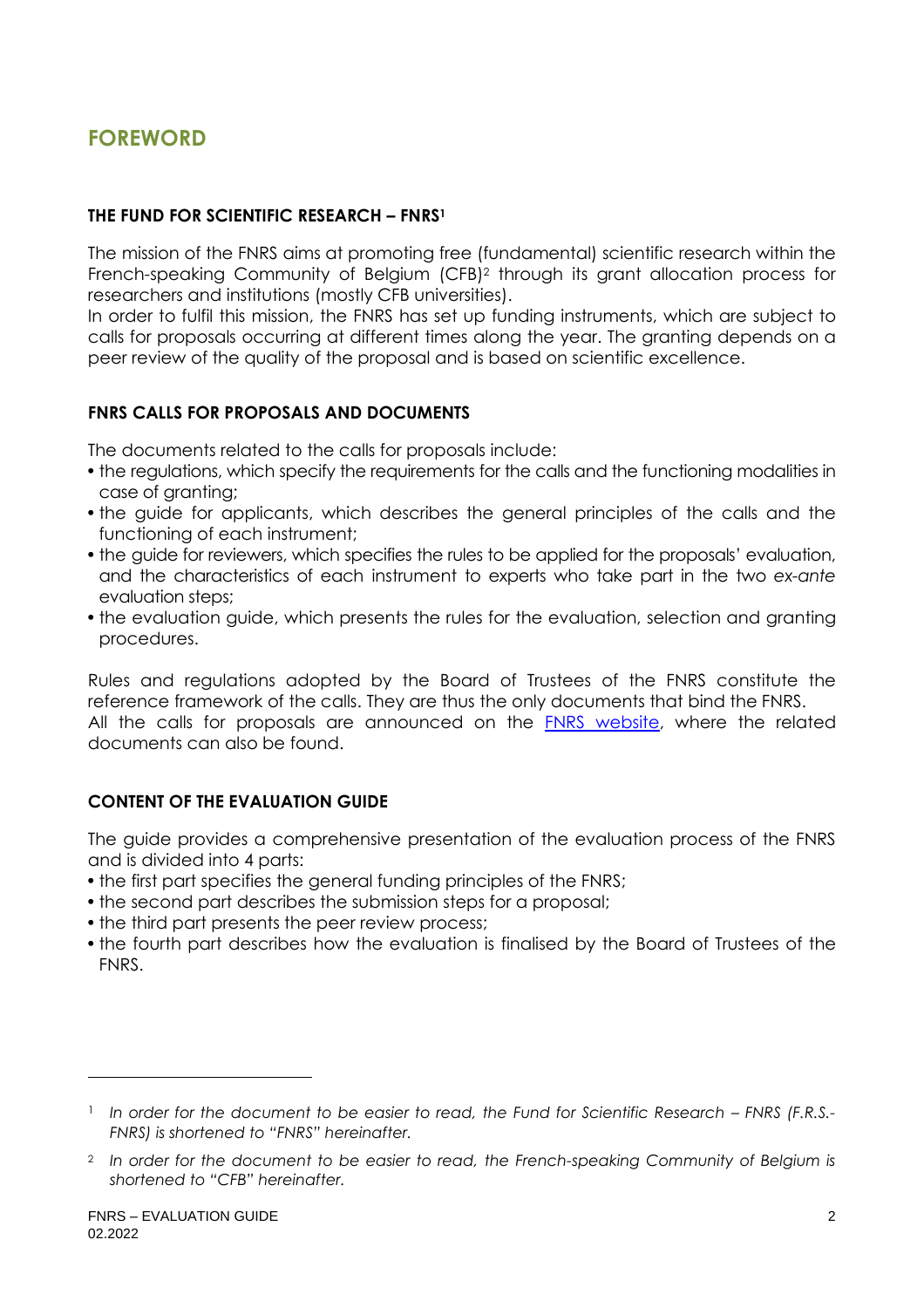# **FOREWORD**

#### **THE FUND FOR SCIENTIFIC RESEARCH – FNRS<sup>1</sup>**

The mission of the FNRS aims at promoting free (fundamental) scientific research within the French-speaking Community of Belgium (CFB)<sup>2</sup> through its grant allocation process for researchers and institutions (mostly CFB universities).

In order to fulfil this mission, the FNRS has set up funding instruments, which are subject to calls for proposals occurring at different times along the year. The granting depends on a peer review of the quality of the proposal and is based on scientific excellence.

#### **FNRS CALLS FOR PROPOSALS AND DOCUMENTS**

The documents related to the calls for proposals include:

- the regulations, which specify the requirements for the calls and the functioning modalities in case of granting;
- the guide for applicants, which describes the general principles of the calls and the functioning of each instrument;
- the guide for reviewers, which specifies the rules to be applied for the proposals' evaluation, and the characteristics of each instrument to experts who take part in the two *ex-ante* evaluation steps;
- the evaluation guide, which presents the rules for the evaluation, selection and granting procedures.

Rules and regulations adopted by the Board of Trustees of the FNRS constitute the reference framework of the calls. They are thus the only documents that bind the FNRS. All the calls for proposals are announced on the [FNRS website,](https://www.frs-fnrs.be/en/) where the related documents can also be found.

#### **CONTENT OF THE EVALUATION GUIDE**

The guide provides a comprehensive presentation of the evaluation process of the FNRS and is divided into 4 parts:

- the first part specifies the general funding principles of the FNRS;
- the second part describes the submission steps for a proposal;
- the third part presents the peer review process;
- the fourth part describes how the evaluation is finalised by the Board of Trustees of the FNRS.

<sup>&</sup>lt;sup>1</sup> In order for the document to be easier to read, the Fund for Scientific Research – FNRS (F.R.S.-*FNRS) is shortened to "FNRS" hereinafter.*

<sup>2</sup> *In order for the document to be easier to read, the French-speaking Community of Belgium is shortened to "CFB" hereinafter.*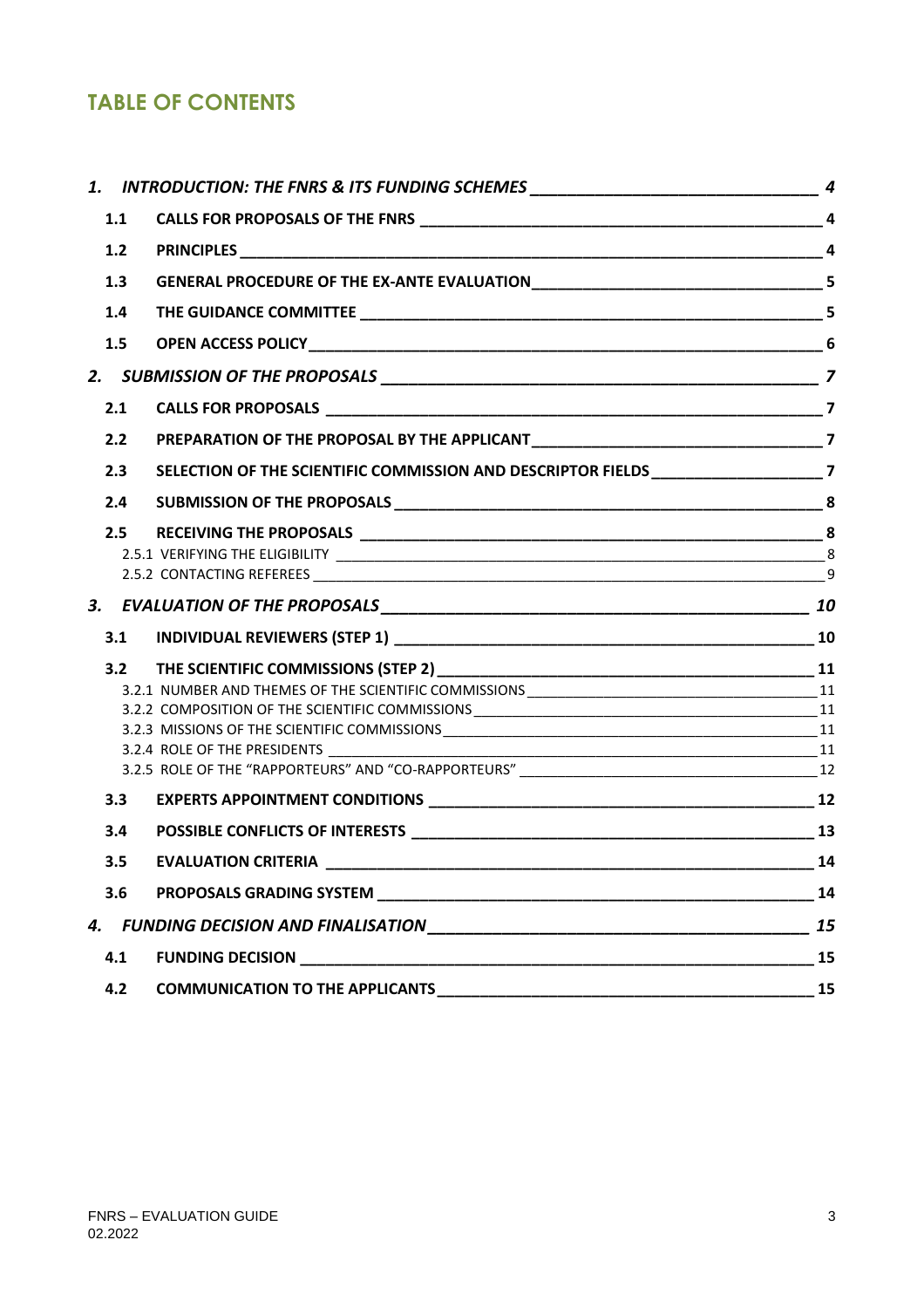# **TABLE OF CONTENTS**

|       | 1. INTRODUCTION: THE FNRS & ITS FUNDING SCHEMES _________________________________ 4                                                                                                                                                  |    |
|-------|--------------------------------------------------------------------------------------------------------------------------------------------------------------------------------------------------------------------------------------|----|
| 1.1   |                                                                                                                                                                                                                                      |    |
| $1.2$ |                                                                                                                                                                                                                                      |    |
| 1.3   |                                                                                                                                                                                                                                      |    |
| 1.4   |                                                                                                                                                                                                                                      |    |
| 1.5   |                                                                                                                                                                                                                                      |    |
|       |                                                                                                                                                                                                                                      |    |
| 2.1   |                                                                                                                                                                                                                                      |    |
| 2.2   |                                                                                                                                                                                                                                      |    |
| 2.3   | SELECTION OF THE SCIENTIFIC COMMISSION AND DESCRIPTOR FIELDS ____________________7                                                                                                                                                   |    |
| 2.4   |                                                                                                                                                                                                                                      |    |
| 2.5   |                                                                                                                                                                                                                                      |    |
|       |                                                                                                                                                                                                                                      |    |
|       |                                                                                                                                                                                                                                      | 9  |
|       |                                                                                                                                                                                                                                      |    |
| 3.1   |                                                                                                                                                                                                                                      |    |
|       |                                                                                                                                                                                                                                      |    |
|       |                                                                                                                                                                                                                                      |    |
|       |                                                                                                                                                                                                                                      |    |
|       |                                                                                                                                                                                                                                      |    |
|       |                                                                                                                                                                                                                                      |    |
| 3.3   |                                                                                                                                                                                                                                      |    |
| 3.4   |                                                                                                                                                                                                                                      |    |
|       |                                                                                                                                                                                                                                      |    |
| 3.5   |                                                                                                                                                                                                                                      | 14 |
| 3.6   | <b>PROPOSALS GRADING SYSTEM EXAMPLE AND RESIDENCE AND RESIDENCE</b>                                                                                                                                                                  | 14 |
|       |                                                                                                                                                                                                                                      | 15 |
| 4.1   | <b>FUNDING DECISION CONTRACT DESCRIPTION OF A SECOND PROPERTY OF A SECOND PROPERTY OF A SECOND PROPERTY OF A SECOND PROPERTY OF A SECOND PROPERTY OF A SECOND PROPERTY OF A SECOND PROPERTY OF A SECOND PROPERTY OF A SECOND PRO</b> | 15 |
| 4.2   |                                                                                                                                                                                                                                      | 15 |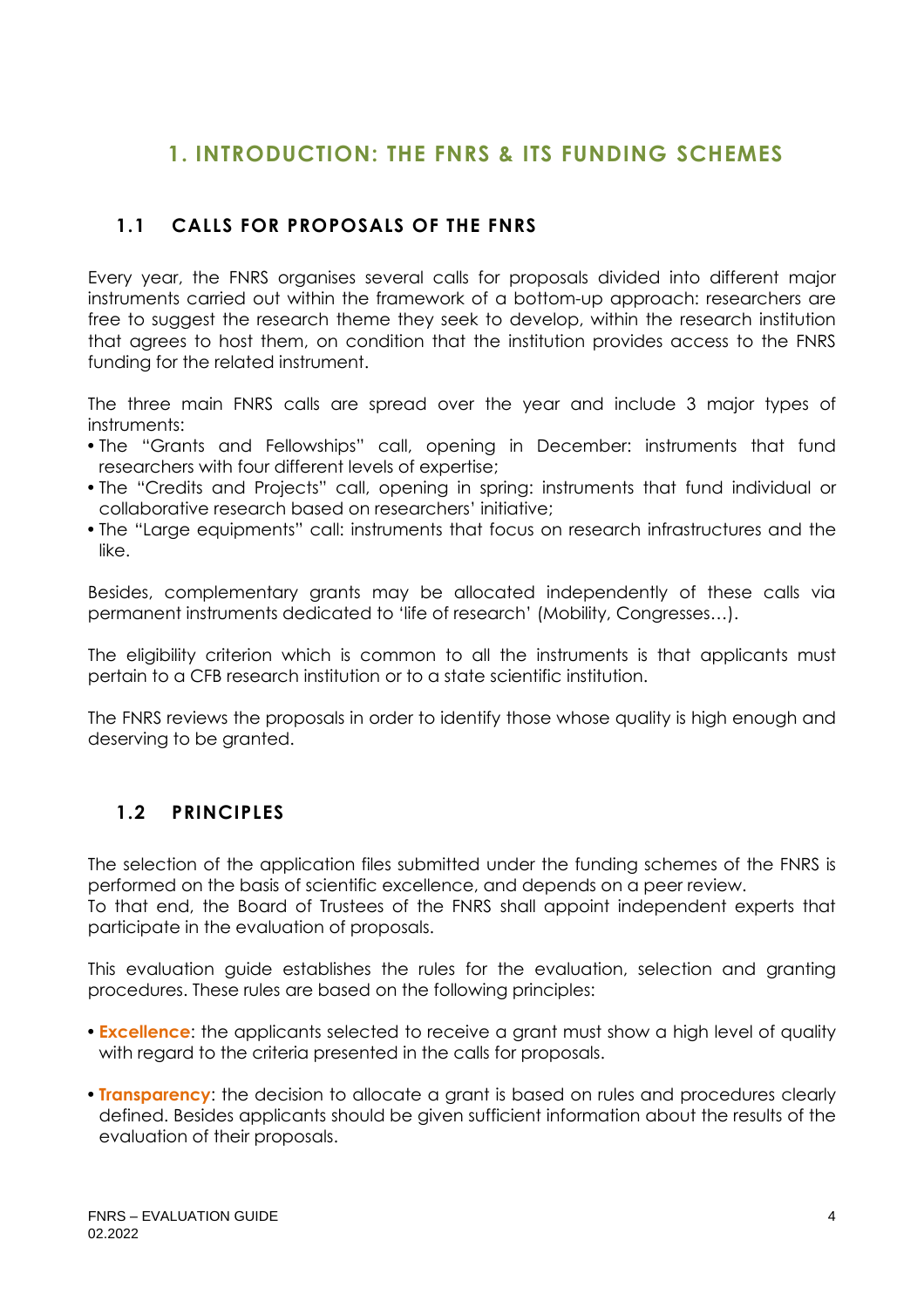# <span id="page-3-0"></span>**1. INTRODUCTION: THE FNRS & ITS FUNDING SCHEMES**

# <span id="page-3-1"></span>**1.1 CALLS FOR PROPOSALS OF THE FNRS**

Every year, the FNRS organises several calls for proposals divided into different major instruments carried out within the framework of a bottom-up approach: researchers are free to suggest the research theme they seek to develop, within the research institution that agrees to host them, on condition that the institution provides access to the FNRS funding for the related instrument.

The three main FNRS calls are spread over the year and include 3 major types of instruments:

- The "Grants and Fellowships" call, opening in December: instruments that fund researchers with four different levels of expertise;
- The "Credits and Projects" call, opening in spring: instruments that fund individual or collaborative research based on researchers' initiative;
- The "Large equipments" call: instruments that focus on research infrastructures and the like.

Besides, complementary grants may be allocated independently of these calls via permanent instruments dedicated to 'life of research' (Mobility, Congresses…).

The eligibility criterion which is common to all the instruments is that applicants must pertain to a CFB research institution or to a state scientific institution.

The FNRS reviews the proposals in order to identify those whose quality is high enough and deserving to be granted.

# <span id="page-3-2"></span>**1.2 PRINCIPLES**

participate in the evaluation of proposals.

The selection of the application files submitted under the funding schemes of the FNRS is performed on the basis of scientific excellence, and depends on a peer review. To that end, the Board of Trustees of the FNRS shall appoint independent experts that

This evaluation guide establishes the rules for the evaluation, selection and granting procedures. These rules are based on the following principles:

- **Excellence**: the applicants selected to receive a grant must show a high level of quality with regard to the criteria presented in the calls for proposals.
- **Transparency**: the decision to allocate a grant is based on rules and procedures clearly defined. Besides applicants should be given sufficient information about the results of the evaluation of their proposals.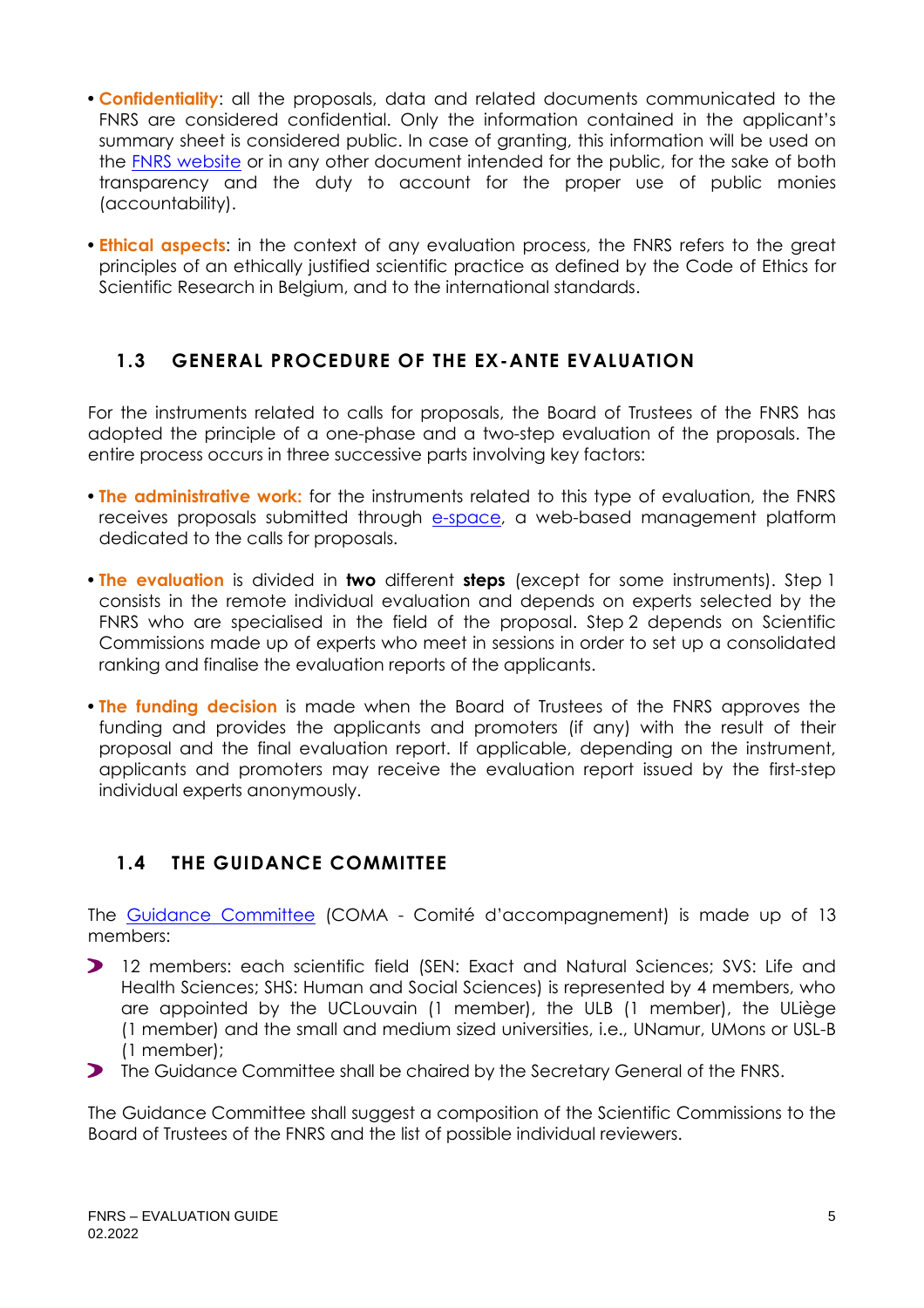- **Confidentiality**: all the proposals, data and related documents communicated to the FNRS are considered confidential. Only the information contained in the applicant's summary sheet is considered public. In case of granting, this information will be used on the [FNRS website](https://admin.frs-fnrs.be/SITE2/Search/Recherche.cfm) or in any other document intended for the public, for the sake of both transparency and the duty to account for the proper use of public monies (accountability).
- **Ethical aspects**: in the context of any evaluation process, the FNRS refers to the great principles of an ethically justified scientific practice as defined by the Code of Ethics for Scientific Research in Belgium, and to the international standards.

#### <span id="page-4-0"></span>**1.3 GENERAL PROCEDURE OF THE EX-ANTE EVALUATION**

For the instruments related to calls for proposals, the Board of Trustees of the FNRS has adopted the principle of a one-phase and a two-step evaluation of the proposals. The entire process occurs in three successive parts involving key factors:

- **The administrative work:** for the instruments related to this type of evaluation, the FNRS receives proposals submitted through [e-space,](https://e-space.frs-fnrs.be/) a web-based management platform dedicated to the calls for proposals.
- **The evaluation** is divided in **two** different **steps** (except for some instruments). Step 1 consists in the remote individual evaluation and depends on experts selected by the FNRS who are specialised in the field of the proposal. Step 2 depends on Scientific Commissions made up of experts who meet in sessions in order to set up a consolidated ranking and finalise the evaluation reports of the applicants.
- **The funding decision** is made when the Board of Trustees of the FNRS approves the funding and provides the applicants and promoters (if any) with the result of their proposal and the final evaluation report. If applicable, depending on the instrument, applicants and promoters may receive the evaluation report issued by the first-step individual experts anonymously.

## <span id="page-4-1"></span>**1.4 THE GUIDANCE COMMITTEE**

The [Guidance Committee](https://www.frs-fnrs.be/docs/Reglement-et-documents/FRS-FNRS_REGL_COMA_EN.pdf) (COMA - Comité d'accompagnement) is made up of 13 members:

- 12 members: each scientific field (SEN: Exact and Natural Sciences; SVS: Life and Health Sciences; SHS: Human and Social Sciences) is represented by 4 members, who are appointed by the UCLouvain (1 member), the ULB (1 member), the ULiège (1 member) and the small and medium sized universities, i.e., UNamur, UMons or USL-B (1 member);
- **The Guidance Committee shall be chaired by the Secretary General of the FNRS.**

The Guidance Committee shall suggest a composition of the Scientific Commissions to the Board of Trustees of the FNRS and the list of possible individual reviewers.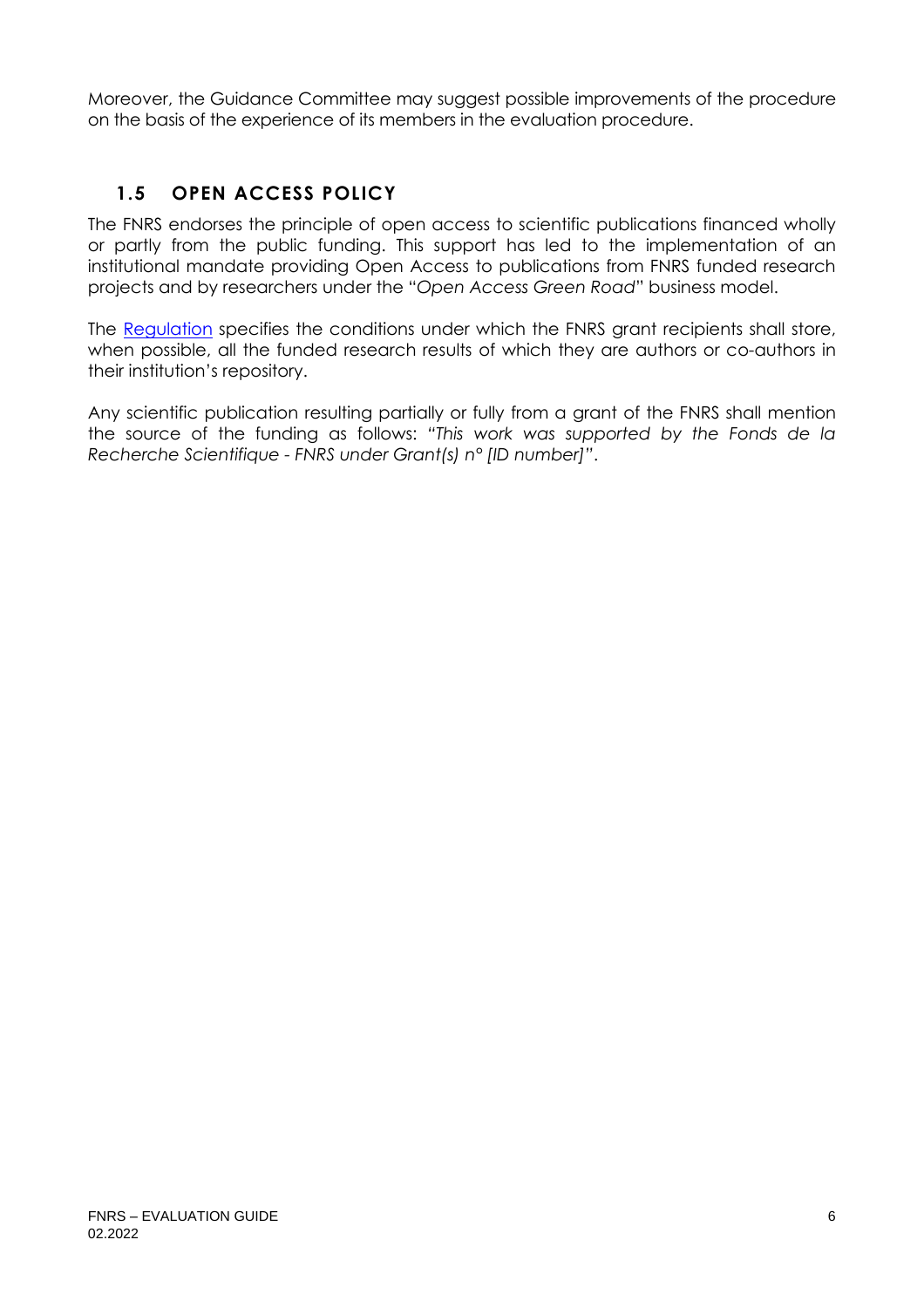Moreover, the Guidance Committee may suggest possible improvements of the procedure on the basis of the experience of its members in the evaluation procedure.

# <span id="page-5-0"></span>**1.5 OPEN ACCESS POLICY**

The FNRS endorses the principle of open access to scientific publications financed wholly or partly from the public funding. This support has led to the implementation of an institutional mandate providing Open Access to publications from FNRS funded research projects and by researchers under the "*Open Access Green Road*" business model.

The [Regulation](https://www.frs-fnrs.be/docs/Reglement_OPEN_ACCESS_EN.pdf) specifies the conditions under which the FNRS grant recipients shall store, when possible, all the funded research results of which they are authors or co-authors in their institution's repository.

Any scientific publication resulting partially or fully from a grant of the FNRS shall mention the source of the funding as follows: *"This work was supported by the Fonds de la Recherche Scientifique - FNRS under Grant(s) n° [ID number]"*.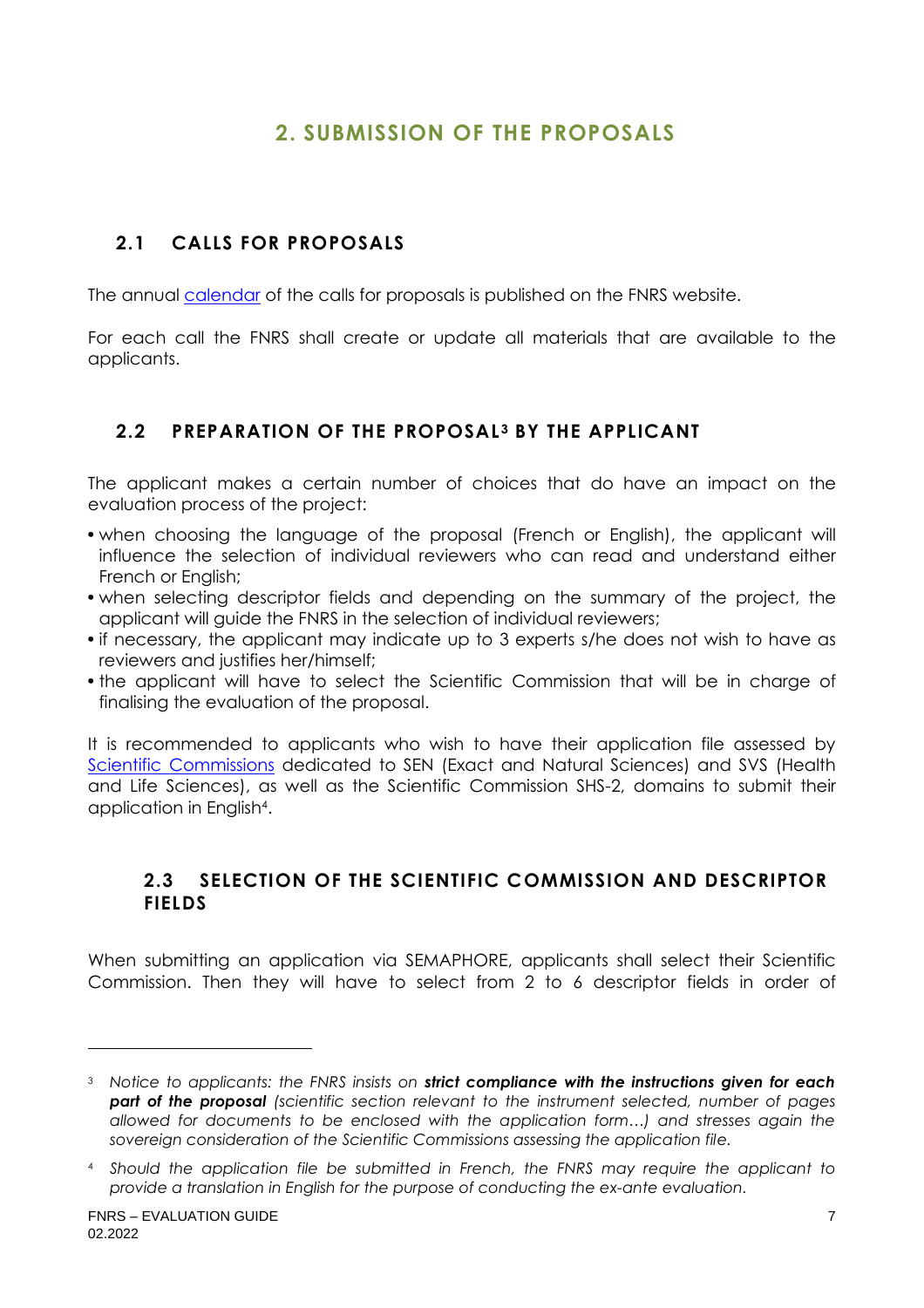# **2. SUBMISSION OF THE PROPOSALS**

# <span id="page-6-1"></span><span id="page-6-0"></span>**2.1 CALLS FOR PROPOSALS**

The annual [calendar](https://www.frs-fnrs.be/en/calendrier-des-appels) of the calls for proposals is published on the FNRS website.

For each call the FNRS shall create or update all materials that are available to the applicants.

## <span id="page-6-2"></span>**2.2 PREPARATION OF THE PROPOSAL <sup>3</sup> BY THE APPLICANT**

The applicant makes a certain number of choices that do have an impact on the evaluation process of the project:

- when choosing the language of the proposal (French or English), the applicant will influence the selection of individual reviewers who can read and understand either French or English;
- when selecting descriptor fields and depending on the summary of the project, the applicant will guide the FNRS in the selection of individual reviewers;
- if necessary, the applicant may indicate up to 3 experts s/he does not wish to have as reviewers and justifies her/himself;
- the applicant will have to select the Scientific Commission that will be in charge of finalising the evaluation of the proposal.

It is recommended to applicants who wish to have their application file assessed by [Scientific Commissions](https://www.frs-fnrs.be/docs/Reglement-et-documents/FRS-FNRS_Champs_descripteurs.pdf) dedicated to SEN (Exact and Natural Sciences) and SVS (Health and Life Sciences), as well as the Scientific Commission SHS-2, domains to submit their application in English<sup>4</sup> .

#### <span id="page-6-3"></span>**2.3 SELECTION OF THE SCIENTIFIC COMMISSION AND DESCRIPTOR FIELDS**

When submitting an application via SEMAPHORE, applicants shall select their Scientific Commission. Then they will have to select from 2 to 6 descriptor fields in order of

<sup>3</sup> *Notice to applicants: the FNRS insists on strict compliance with the instructions given for each part of the proposal (scientific section relevant to the instrument selected, number of pages allowed for documents to be enclosed with the application form…) and stresses again the sovereign consideration of the Scientific Commissions assessing the application file.*

<sup>4</sup> *Should the application file be submitted in French, the FNRS may require the applicant to provide a translation in English for the purpose of conducting the ex-ante evaluation.*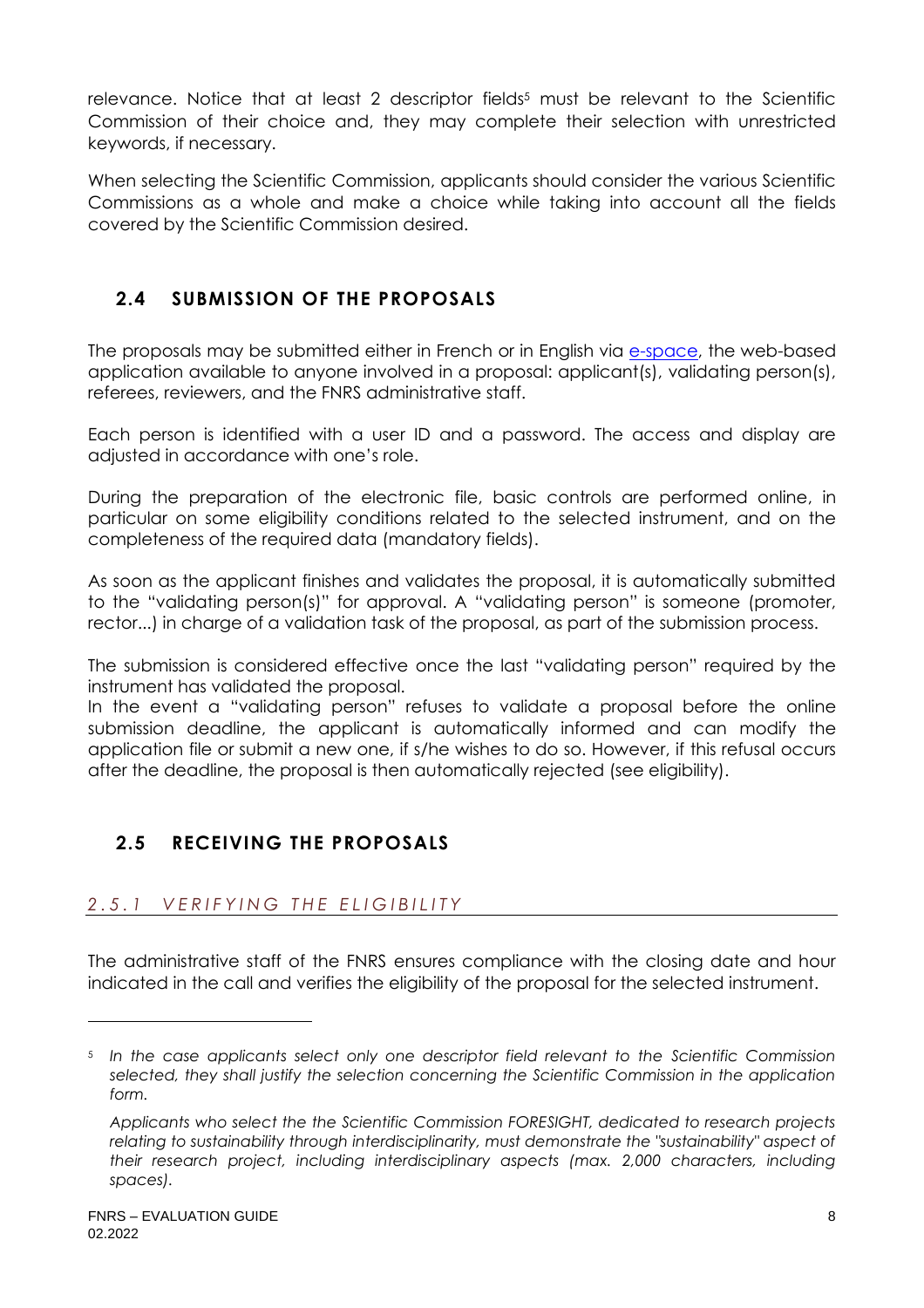relevance. Notice that at least 2 descriptor fields<sup>5</sup> must be relevant to the Scientific Commission of their choice and, they may complete their selection with unrestricted keywords, if necessary.

When selecting the Scientific Commission, applicants should consider the various Scientific Commissions as a whole and make a choice while taking into account all the fields covered by the Scientific Commission desired.

# <span id="page-7-0"></span>**2.4 SUBMISSION OF THE PROPOSALS**

The proposals may be submitted either in French or in English via [e-space,](https://e-space.frs-fnrs.be/) the web-based application available to anyone involved in a proposal: applicant(s), validating person(s), referees, reviewers, and the FNRS administrative staff.

Each person is identified with a user ID and a password. The access and display are adjusted in accordance with one's role.

During the preparation of the electronic file, basic controls are performed online, in particular on some eligibility conditions related to the selected instrument, and on the completeness of the required data (mandatory fields).

As soon as the applicant finishes and validates the proposal, it is automatically submitted to the "validating person(s)" for approval. A "validating person" is someone (promoter, rector...) in charge of a validation task of the proposal, as part of the submission process.

The submission is considered effective once the last "validating person" required by the instrument has validated the proposal.

In the event a "validating person" refuses to validate a proposal before the online submission deadline, the applicant is automatically informed and can modify the application file or submit a new one, if s/he wishes to do so. However, if this refusal occurs after the deadline, the proposal is then automatically rejected (see eligibility).

## <span id="page-7-1"></span>**2.5 RECEIVING THE PROPOSALS**

## <span id="page-7-2"></span>*2 . 5 . 1 V E R I F Y I N G T H E E L I G I B I L I T Y*

The administrative staff of the FNRS ensures compliance with the closing date and hour indicated in the call and verifies the eligibility of the proposal for the selected instrument.

<sup>5</sup> *In the case applicants select only one descriptor field relevant to the Scientific Commission selected, they shall justify the selection concerning the Scientific Commission in the application form.*

*Applicants who select the the Scientific Commission FORESIGHT, dedicated to research projects relating to sustainability through interdisciplinarity, must demonstrate the "sustainability" aspect of their research project, including interdisciplinary aspects (max. 2,000 characters, including spaces).*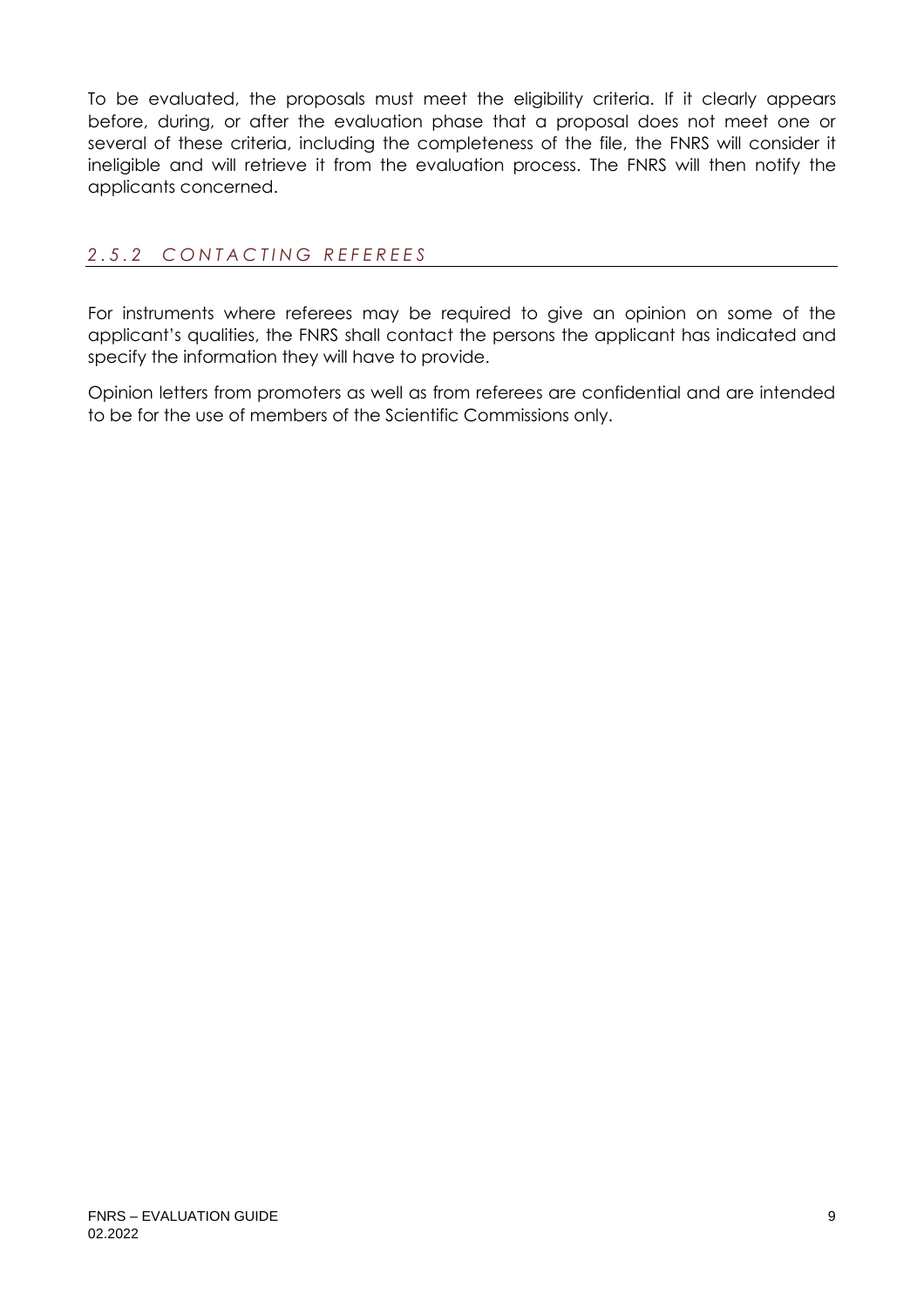To be evaluated, the proposals must meet the eligibility criteria. If it clearly appears before, during, or after the evaluation phase that a proposal does not meet one or several of these criteria, including the completeness of the file, the FNRS will consider it ineligible and will retrieve it from the evaluation process. The FNRS will then notify the applicants concerned.

#### <span id="page-8-0"></span>*2 . 5 . 2 C O N T A C T I N G R E F E R E E S*

For instruments where referees may be required to give an opinion on some of the applicant's qualities, the FNRS shall contact the persons the applicant has indicated and specify the information they will have to provide.

Opinion letters from promoters as well as from referees are confidential and are intended to be for the use of members of the Scientific Commissions only.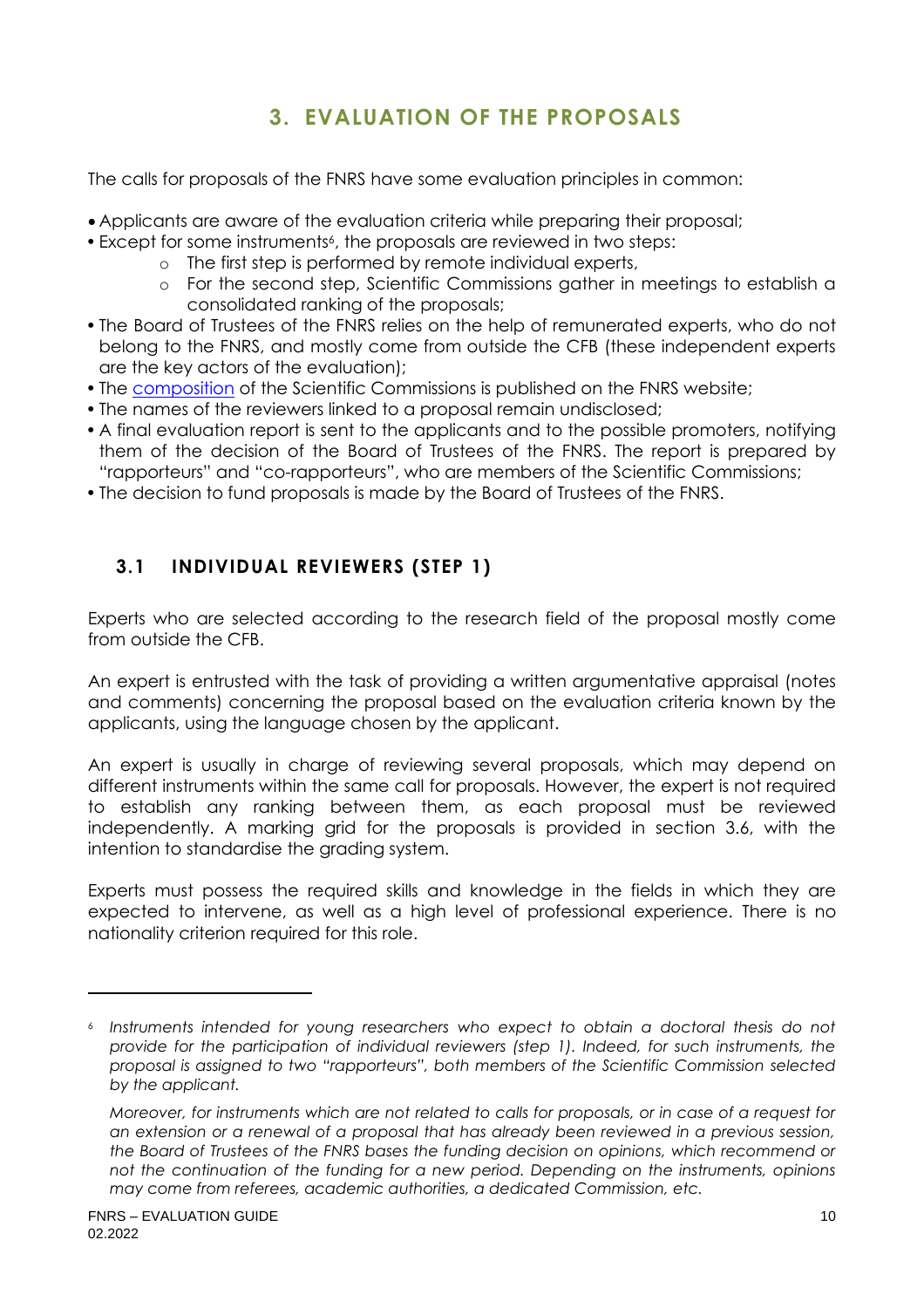# <span id="page-9-0"></span>**3. EVALUATION OF THE PROPOSALS**

The calls for proposals of the FNRS have some evaluation principles in common:

- Applicants are aware of the evaluation criteria while preparing their proposal;
- Except for some instruments<sup>6</sup>, the proposals are reviewed in two steps:
	- o The first step is performed by remote individual experts,
	- o For the second step, Scientific Commissions gather in meetings to establish a consolidated ranking of the proposals;
- The Board of Trustees of the FNRS relies on the help of remunerated experts, who do not belong to the FNRS, and mostly come from outside the CFB (these independent experts are the key actors of the evaluation);
- The [composition](https://www.frs-fnrs.be/docs/Reglement-et-documents/FRS-FNRS_composition_cs.pdf) of the Scientific Commissions is published on the FNRS website;
- The names of the reviewers linked to a proposal remain undisclosed;
- A final evaluation report is sent to the applicants and to the possible promoters, notifying them of the decision of the Board of Trustees of the FNRS. The report is prepared by "rapporteurs" and "co-rapporteurs", who are members of the Scientific Commissions;
- The decision to fund proposals is made by the Board of Trustees of the FNRS.

# <span id="page-9-1"></span>**3.1 INDIVIDUAL REVIEWERS (STEP 1)**

Experts who are selected according to the research field of the proposal mostly come from outside the CFB.

An expert is entrusted with the task of providing a written argumentative appraisal (notes and comments) concerning the proposal based on the evaluation criteria known by the applicants, using the language chosen by the applicant.

An expert is usually in charge of reviewing several proposals, which may depend on different instruments within the same call for proposals. However, the expert is not required to establish any ranking between them, as each proposal must be reviewed independently. A marking grid for the proposals is provided in section 3.6, with the intention to standardise the grading system.

Experts must possess the required skills and knowledge in the fields in which they are expected to intervene, as well as a high level of professional experience. There is no nationality criterion required for this role.

<sup>6</sup> *Instruments intended for young researchers who expect to obtain a doctoral thesis do not provide for the participation of individual reviewers (step 1). Indeed, for such instruments, the proposal is assigned to two "rapporteurs", both members of the Scientific Commission selected by the applicant.*

*Moreover, for instruments which are not related to calls for proposals, or in case of a request for an extension or a renewal of a proposal that has already been reviewed in a previous session, the Board of Trustees of the FNRS bases the funding decision on opinions, which recommend or not the continuation of the funding for a new period. Depending on the instruments, opinions may come from referees, academic authorities, a dedicated Commission, etc.*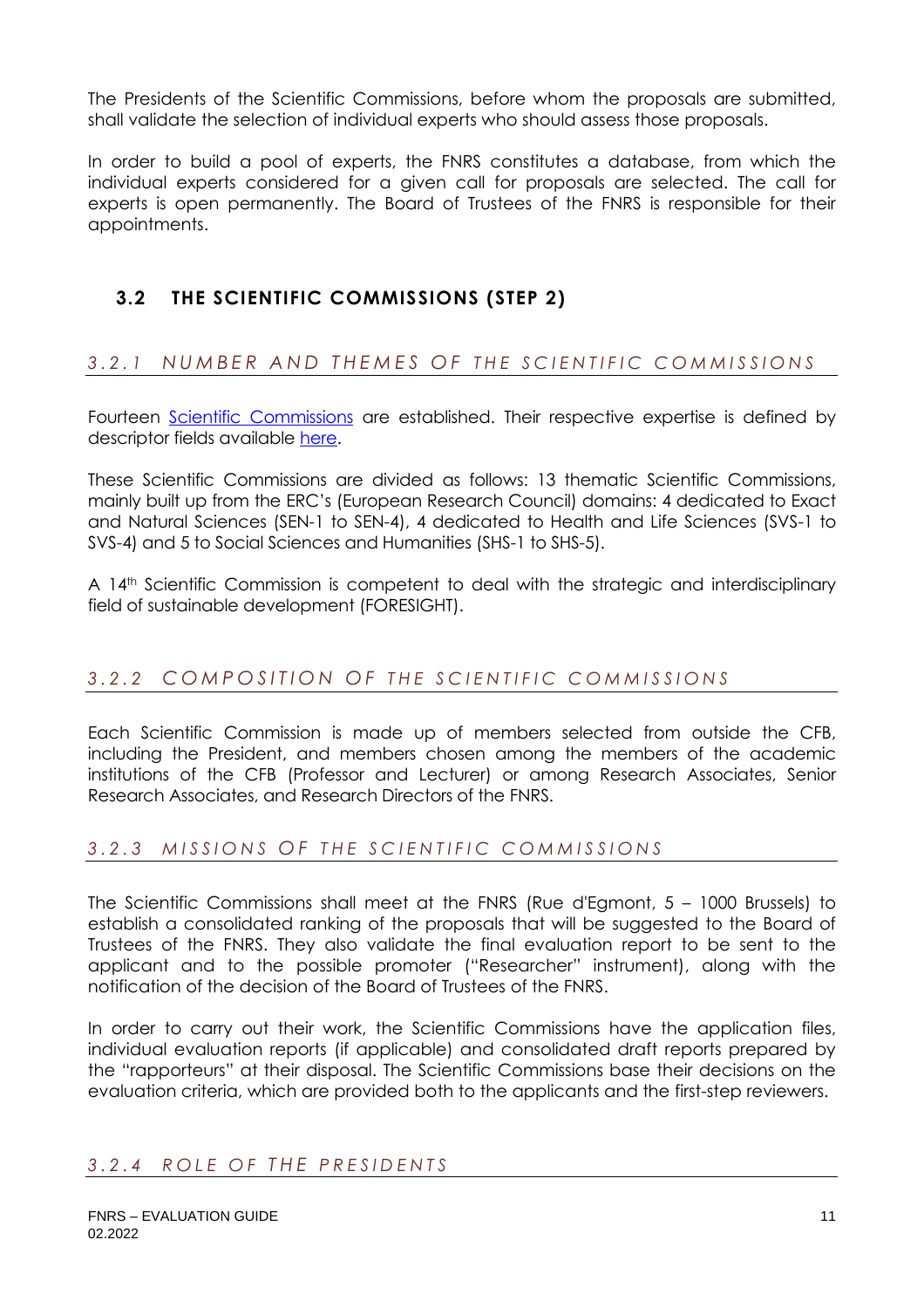The Presidents of the Scientific Commissions, before whom the proposals are submitted, shall validate the selection of individual experts who should assess those proposals.

In order to build a pool of experts, the FNRS constitutes a database, from which the individual experts considered for a given call for proposals are selected. The call for experts is open permanently. The Board of Trustees of the FNRS is responsible for their appointments.

# <span id="page-10-0"></span>**3.2 THE SCIENTIFIC COMMISSIONS (STEP 2)**

## <span id="page-10-1"></span>3.2.1 NUMBER AND THEMES OF THE SCIENTIFIC COMMISSIONS

Fourteen [Scientific Commissions](https://www.frs-fnrs.be/docs/Reglement-et-documents/FRS-FNRS_REGL_CS_EN.pdf) are established. Their respective expertise is defined by descriptor fields available [here.](https://www.frs-fnrs.be/docs/Reglement-et-documents/FRS-FNRS_Champs_descripteurs.pdf)

These Scientific Commissions are divided as follows: 13 thematic Scientific Commissions, mainly built up from the ERC's (European Research Council) domains: 4 dedicated to Exact and Natural Sciences (SEN-1 to SEN-4), 4 dedicated to Health and Life Sciences (SVS-1 to SVS-4) and 5 to Social Sciences and Humanities (SHS-1 to SHS-5).

A 14<sup>th</sup> Scientific Commission is competent to deal with the strategic and interdisciplinary field of sustainable development (FORESIGHT).

## <span id="page-10-2"></span>3.2.2 COMPOSITION OF THE SCIENTIFIC COMMISSIONS

Each Scientific Commission is made up of members selected from outside the CFB, including the President, and members chosen among the members of the academic institutions of the CFB (Professor and Lecturer) or among Research Associates, Senior Research Associates, and Research Directors of the FNRS.

#### <span id="page-10-3"></span>*3 . 2 . 3 M I S S I O N S O F T H E S C I E N T I F I C C O M M I S S I O N S*

The Scientific Commissions shall meet at the FNRS (Rue d'Egmont, 5 – 1000 Brussels) to establish a consolidated ranking of the proposals that will be suggested to the Board of Trustees of the FNRS. They also validate the final evaluation report to be sent to the applicant and to the possible promoter ("Researcher" instrument), along with the notification of the decision of the Board of Trustees of the FNRS.

In order to carry out their work, the Scientific Commissions have the application files, individual evaluation reports (if applicable) and consolidated draft reports prepared by the "rapporteurs" at their disposal. The Scientific Commissions base their decisions on the evaluation criteria, which are provided both to the applicants and the first-step reviewers.

#### <span id="page-10-4"></span>*3 . 2 . 4 R O L E O F T H E P R E S I D E N T S*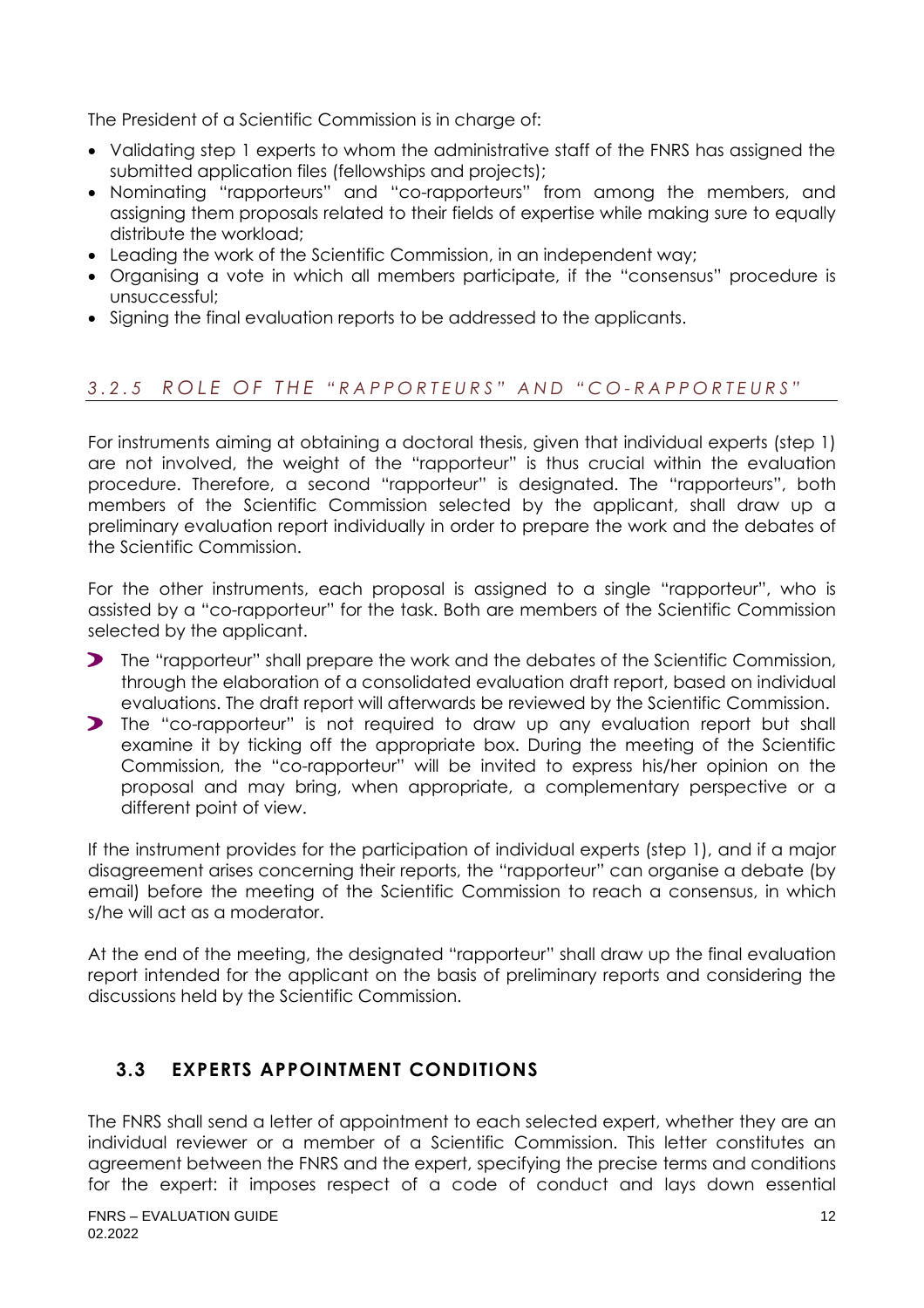The President of a Scientific Commission is in charge of:

- Validating step 1 experts to whom the administrative staff of the FNRS has assigned the submitted application files (fellowships and projects);
- Nominating "rapporteurs" and "co-rapporteurs" from among the members, and assigning them proposals related to their fields of expertise while making sure to equally distribute the workload;
- Leading the work of the Scientific Commission, in an independent way;
- Organising a vote in which all members participate, if the "consensus" procedure is unsuccessful;
- Signing the final evaluation reports to be addressed to the applicants.

#### <span id="page-11-0"></span>*3 . 2 . 5 R O L E O F T H E " R A P P O R T E U R S " A N D " C O - R A P P O R T E U R S "*

For instruments aiming at obtaining a doctoral thesis, given that individual experts (step 1) are not involved, the weight of the "rapporteur" is thus crucial within the evaluation procedure. Therefore, a second "rapporteur" is designated. The "rapporteurs", both members of the Scientific Commission selected by the applicant, shall draw up a preliminary evaluation report individually in order to prepare the work and the debates of the Scientific Commission.

For the other instruments, each proposal is assigned to a single "rapporteur", who is assisted by a "co-rapporteur" for the task. Both are members of the Scientific Commission selected by the applicant.

- The "rapporteur" shall prepare the work and the debates of the Scientific Commission, through the elaboration of a consolidated evaluation draft report, based on individual evaluations. The draft report will afterwards be reviewed by the Scientific Commission.
- The "co-rapporteur" is not required to draw up any evaluation report but shall examine it by ticking off the appropriate box. During the meeting of the Scientific Commission, the "co-rapporteur" will be invited to express his/her opinion on the proposal and may bring, when appropriate, a complementary perspective or a different point of view.

If the instrument provides for the participation of individual experts (step 1), and if a major disagreement arises concerning their reports, the "rapporteur" can organise a debate (by email) before the meeting of the Scientific Commission to reach a consensus, in which s/he will act as a moderator.

At the end of the meeting, the designated "rapporteur" shall draw up the final evaluation report intended for the applicant on the basis of preliminary reports and considering the discussions held by the Scientific Commission.

## <span id="page-11-1"></span>**3.3 EXPERTS APPOINTMENT CONDITIONS**

The FNRS shall send a letter of appointment to each selected expert, whether they are an individual reviewer or a member of a Scientific Commission. This letter constitutes an agreement between the FNRS and the expert, specifying the precise terms and conditions for the expert: it imposes respect of a code of conduct and lays down essential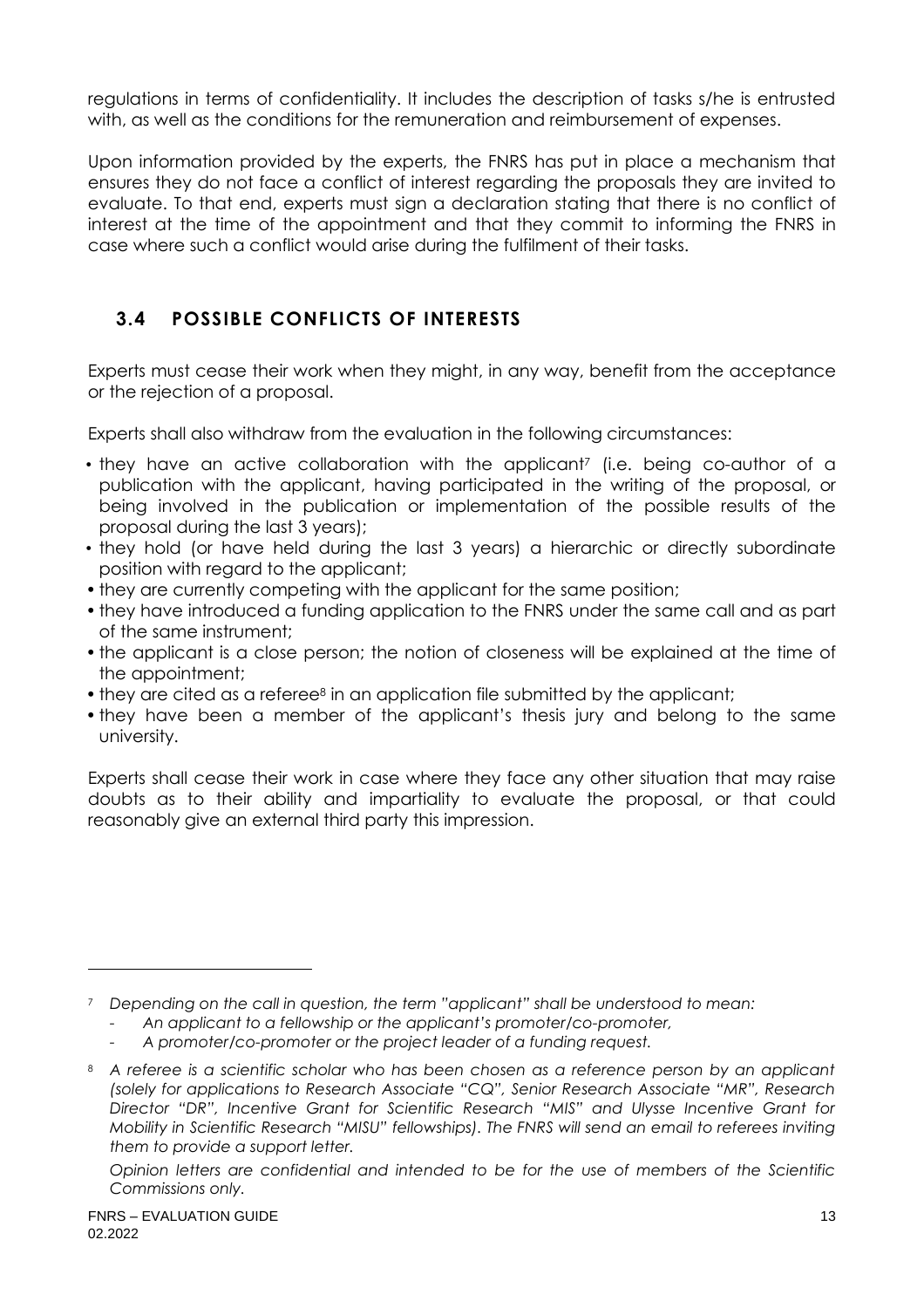regulations in terms of confidentiality. It includes the description of tasks s/he is entrusted with, as well as the conditions for the remuneration and reimbursement of expenses.

Upon information provided by the experts, the FNRS has put in place a mechanism that ensures they do not face a conflict of interest regarding the proposals they are invited to evaluate. To that end, experts must sign a declaration stating that there is no conflict of interest at the time of the appointment and that they commit to informing the FNRS in case where such a conflict would arise during the fulfilment of their tasks.

# <span id="page-12-0"></span>**3.4 POSSIBLE CONFLICTS OF INTERESTS**

Experts must cease their work when they might, in any way, benefit from the acceptance or the rejection of a proposal.

Experts shall also withdraw from the evaluation in the following circumstances:

- they have an active collaboration with the applicant<sup>7</sup> (i.e. being co-author of a publication with the applicant, having participated in the writing of the proposal, or being involved in the publication or implementation of the possible results of the proposal during the last 3 years);
- they hold (or have held during the last 3 years) a hierarchic or directly subordinate position with regard to the applicant;
- they are currently competing with the applicant for the same position;
- they have introduced a funding application to the FNRS under the same call and as part of the same instrument;
- the applicant is a close person; the notion of closeness will be explained at the time of the appointment;
- they are cited as a referee<sup>8</sup> in an application file submitted by the applicant;
- they have been a member of the applicant's thesis jury and belong to the same university.

Experts shall cease their work in case where they face any other situation that may raise doubts as to their ability and impartiality to evaluate the proposal, or that could reasonably give an external third party this impression.

<sup>7</sup> *Depending on the call in question, the term "applicant" shall be understood to mean:*

*<sup>-</sup> An applicant to a fellowship or the applicant's promoter/co-promoter,*

*<sup>-</sup> A promoter/co-promoter or the project leader of a funding request.*

<sup>8</sup> *A referee is a scientific scholar who has been chosen as a reference person by an applicant (solely for applications to Research Associate "CQ", Senior Research Associate "MR", Research Director "DR", Incentive Grant for Scientific Research "MIS" and Ulysse Incentive Grant for Mobility in Scientific Research "MISU" fellowships). The FNRS will send an email to referees inviting them to provide a support letter.*

*Opinion letters are confidential and intended to be for the use of members of the Scientific Commissions only.*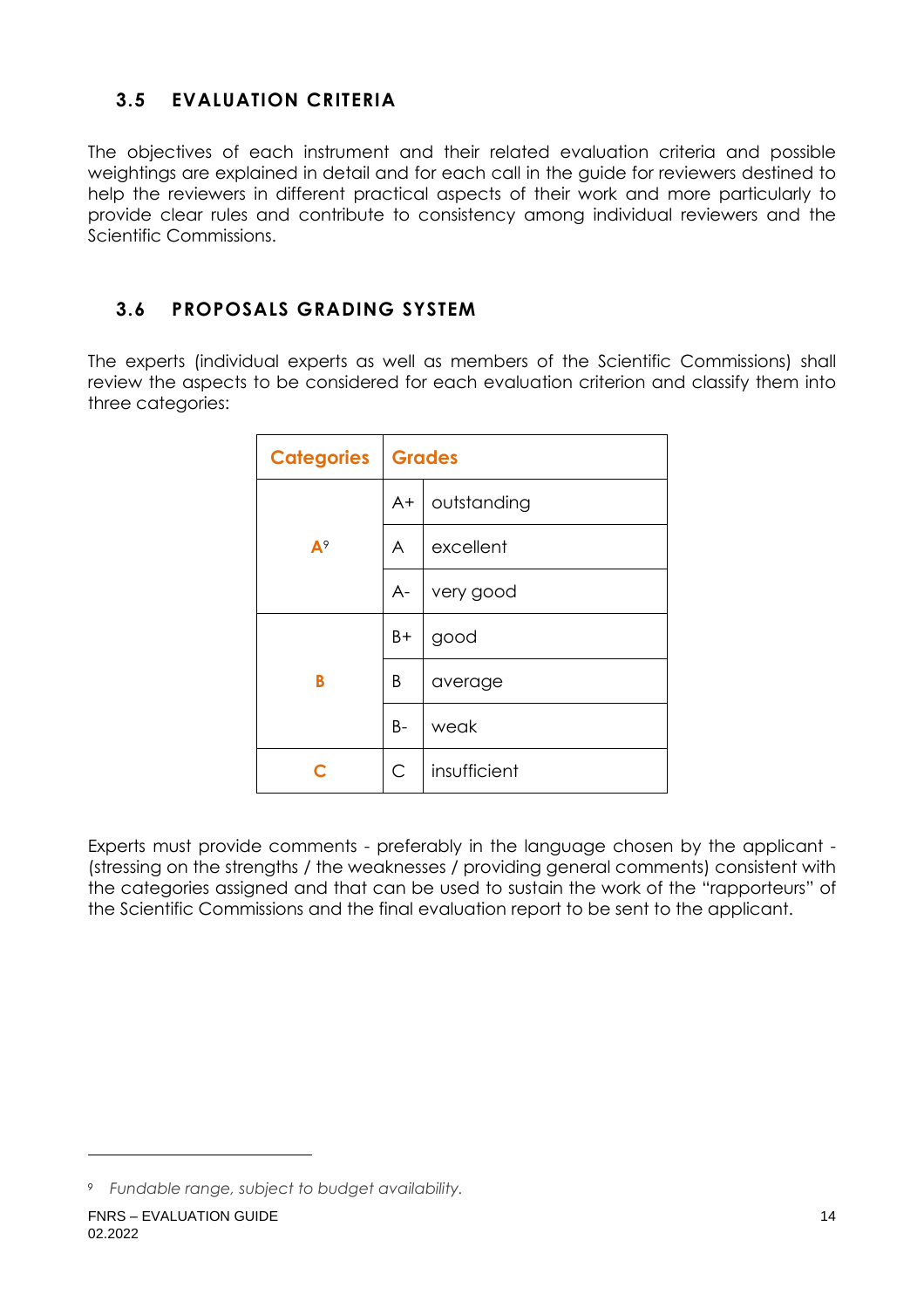# <span id="page-13-0"></span>**3.5 EVALUATION CRITERIA**

The objectives of each instrument and their related evaluation criteria and possible weightings are explained in detail and for each call in the guide for reviewers destined to help the reviewers in different practical aspects of their work and more particularly to provide clear rules and contribute to consistency among individual reviewers and the Scientific Commissions.

# <span id="page-13-1"></span>**3.6 PROPOSALS GRADING SYSTEM**

The experts (individual experts as well as members of the Scientific Commissions) shall review the aspects to be considered for each evaluation criterion and classify them into three categories:

| <b>Categories</b> | Grades       |              |  |
|-------------------|--------------|--------------|--|
|                   | A+           | outstanding  |  |
| $A^9$             | A            | excellent    |  |
|                   | A-           | very good    |  |
|                   | B+           | good         |  |
| B                 | Β            | average      |  |
|                   | B-           | weak         |  |
| ◠                 | $\mathsf{C}$ | insufficient |  |

Experts must provide comments - preferably in the language chosen by the applicant - (stressing on the strengths / the weaknesses / providing general comments) consistent with the categories assigned and that can be used to sustain the work of the "rapporteurs" of the Scientific Commissions and the final evaluation report to be sent to the applicant.

*<sup>9</sup> Fundable range, subject to budget availability.*